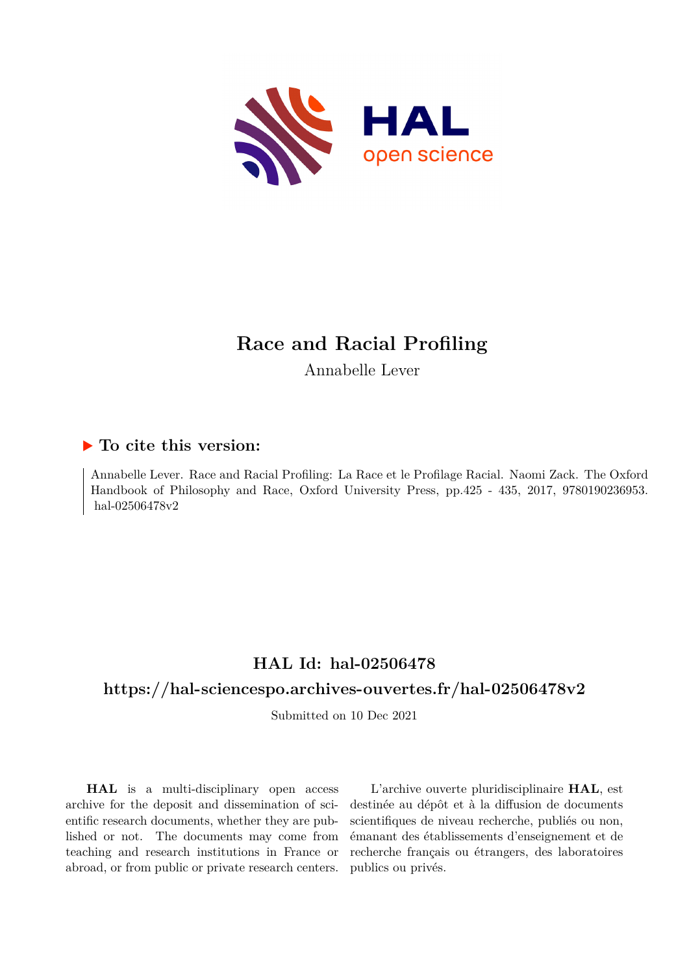

# **Race and Racial Profiling**

Annabelle Lever

# **To cite this version:**

Annabelle Lever. Race and Racial Profiling: La Race et le Profilage Racial. Naomi Zack. The Oxford Handbook of Philosophy and Race, Oxford University Press, pp.425 - 435, 2017, 9780190236953. hal-02506478v2

# **HAL Id: hal-02506478**

# **<https://hal-sciencespo.archives-ouvertes.fr/hal-02506478v2>**

Submitted on 10 Dec 2021

**HAL** is a multi-disciplinary open access archive for the deposit and dissemination of scientific research documents, whether they are published or not. The documents may come from teaching and research institutions in France or abroad, or from public or private research centers.

L'archive ouverte pluridisciplinaire **HAL**, est destinée au dépôt et à la diffusion de documents scientifiques de niveau recherche, publiés ou non, émanant des établissements d'enseignement et de recherche français ou étrangers, des laboratoires publics ou privés.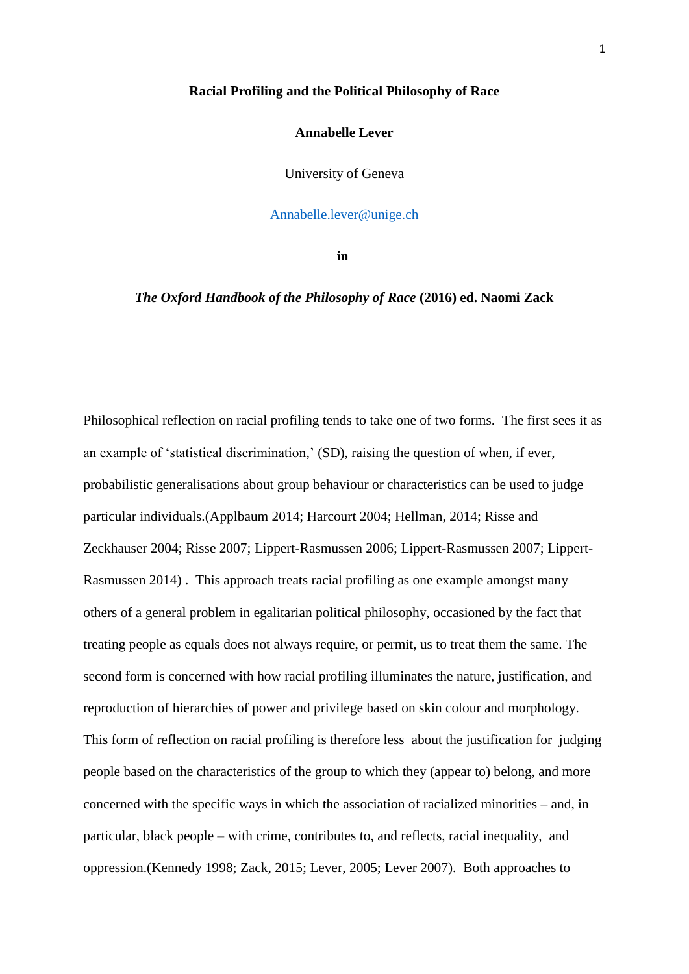#### **Racial Profiling and the Political Philosophy of Race**

### **Annabelle Lever**

University of Geneva

[Annabelle.lever@unige.ch](mailto:Annabelle.lever@unige.ch)

**in** 

## *The Oxford Handbook of the Philosophy of Race* **(2016) ed. Naomi Zack**

Philosophical reflection on racial profiling tends to take one of two forms. The first sees it as an example of 'statistical discrimination,' (SD), raising the question of when, if ever, probabilistic generalisations about group behaviour or characteristics can be used to judge particular individuals.(Applbaum 2014; Harcourt 2004; Hellman, 2014; Risse and Zeckhauser 2004; Risse 2007; Lippert-Rasmussen 2006; Lippert-Rasmussen 2007; Lippert-Rasmussen 2014) . This approach treats racial profiling as one example amongst many others of a general problem in egalitarian political philosophy, occasioned by the fact that treating people as equals does not always require, or permit, us to treat them the same. The second form is concerned with how racial profiling illuminates the nature, justification, and reproduction of hierarchies of power and privilege based on skin colour and morphology. This form of reflection on racial profiling is therefore less about the justification for judging people based on the characteristics of the group to which they (appear to) belong, and more concerned with the specific ways in which the association of racialized minorities – and, in particular, black people – with crime, contributes to, and reflects, racial inequality, and oppression.(Kennedy 1998; Zack, 2015; Lever, 2005; Lever 2007). Both approaches to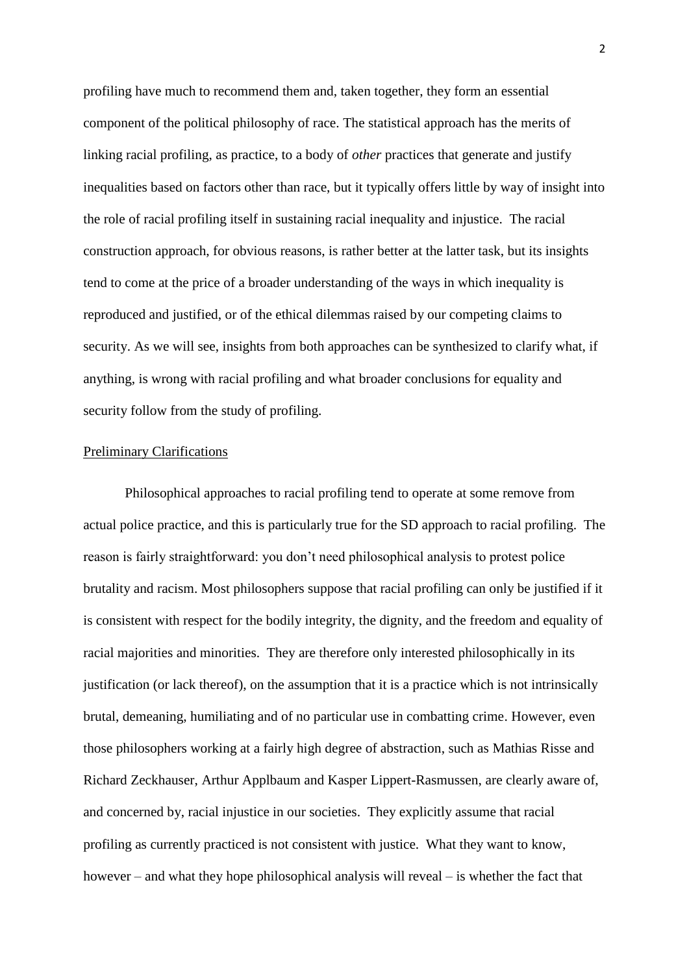profiling have much to recommend them and, taken together, they form an essential component of the political philosophy of race. The statistical approach has the merits of linking racial profiling, as practice, to a body of *other* practices that generate and justify inequalities based on factors other than race, but it typically offers little by way of insight into the role of racial profiling itself in sustaining racial inequality and injustice. The racial construction approach, for obvious reasons, is rather better at the latter task, but its insights tend to come at the price of a broader understanding of the ways in which inequality is reproduced and justified, or of the ethical dilemmas raised by our competing claims to security. As we will see, insights from both approaches can be synthesized to clarify what, if anything, is wrong with racial profiling and what broader conclusions for equality and security follow from the study of profiling.

### Preliminary Clarifications

Philosophical approaches to racial profiling tend to operate at some remove from actual police practice, and this is particularly true for the SD approach to racial profiling. The reason is fairly straightforward: you don't need philosophical analysis to protest police brutality and racism. Most philosophers suppose that racial profiling can only be justified if it is consistent with respect for the bodily integrity, the dignity, and the freedom and equality of racial majorities and minorities. They are therefore only interested philosophically in its justification (or lack thereof), on the assumption that it is a practice which is not intrinsically brutal, demeaning, humiliating and of no particular use in combatting crime. However, even those philosophers working at a fairly high degree of abstraction, such as Mathias Risse and Richard Zeckhauser, Arthur Applbaum and Kasper Lippert-Rasmussen, are clearly aware of, and concerned by, racial injustice in our societies. They explicitly assume that racial profiling as currently practiced is not consistent with justice. What they want to know, however – and what they hope philosophical analysis will reveal – is whether the fact that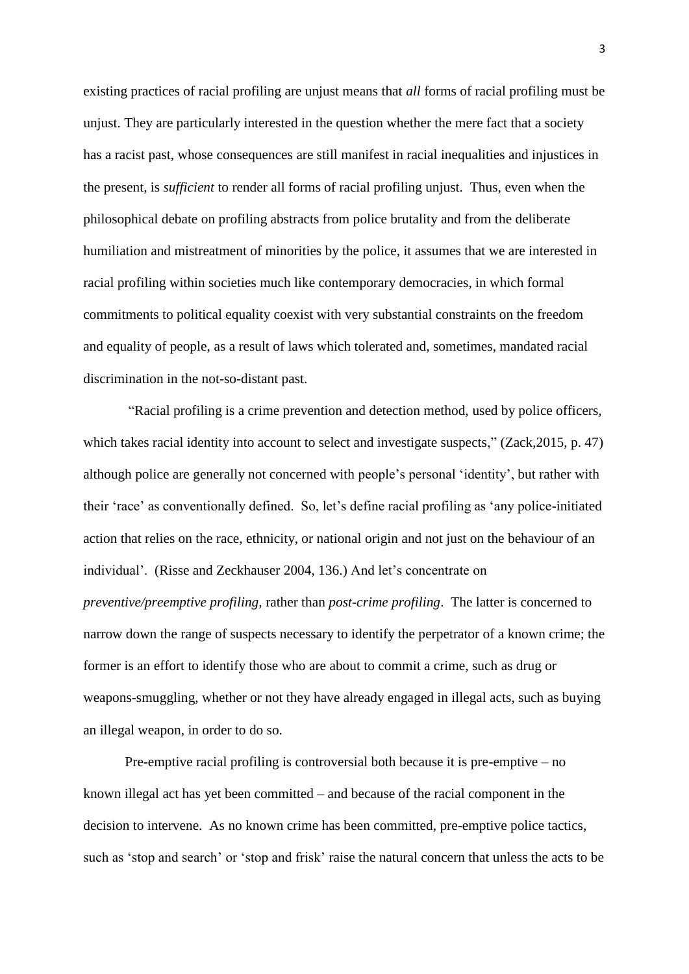existing practices of racial profiling are unjust means that *all* forms of racial profiling must be unjust. They are particularly interested in the question whether the mere fact that a society has a racist past, whose consequences are still manifest in racial inequalities and injustices in the present, is *sufficient* to render all forms of racial profiling unjust. Thus, even when the philosophical debate on profiling abstracts from police brutality and from the deliberate humiliation and mistreatment of minorities by the police, it assumes that we are interested in racial profiling within societies much like contemporary democracies, in which formal commitments to political equality coexist with very substantial constraints on the freedom and equality of people, as a result of laws which tolerated and, sometimes, mandated racial discrimination in the not-so-distant past.

"Racial profiling is a crime prevention and detection method, used by police officers, which takes racial identity into account to select and investigate suspects," (Zack, 2015, p. 47) although police are generally not concerned with people's personal 'identity', but rather with their 'race' as conventionally defined. So, let's define racial profiling as 'any police-initiated action that relies on the race, ethnicity, or national origin and not just on the behaviour of an individual'. (Risse and Zeckhauser 2004, 136.) And let's concentrate on *preventive/preemptive profiling,* rather than *post-crime profiling*. The latter is concerned to narrow down the range of suspects necessary to identify the perpetrator of a known crime; the former is an effort to identify those who are about to commit a crime, such as drug or weapons-smuggling, whether or not they have already engaged in illegal acts, such as buying an illegal weapon, in order to do so.

Pre-emptive racial profiling is controversial both because it is pre-emptive – no known illegal act has yet been committed – and because of the racial component in the decision to intervene. As no known crime has been committed, pre-emptive police tactics, such as 'stop and search' or 'stop and frisk' raise the natural concern that unless the acts to be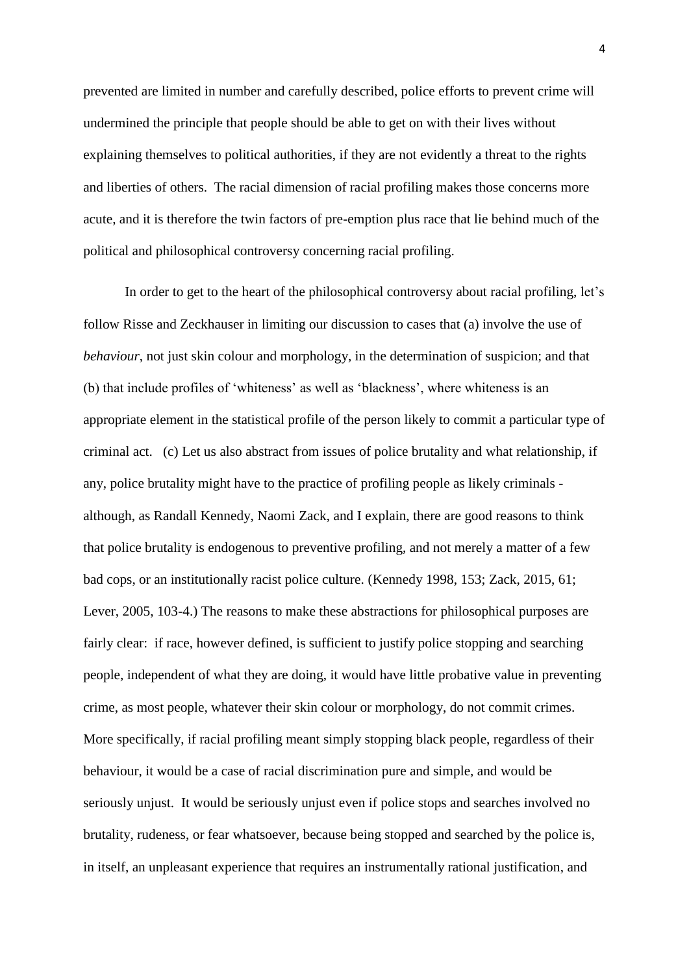prevented are limited in number and carefully described, police efforts to prevent crime will undermined the principle that people should be able to get on with their lives without explaining themselves to political authorities, if they are not evidently a threat to the rights and liberties of others. The racial dimension of racial profiling makes those concerns more acute, and it is therefore the twin factors of pre-emption plus race that lie behind much of the political and philosophical controversy concerning racial profiling.

In order to get to the heart of the philosophical controversy about racial profiling, let's follow Risse and Zeckhauser in limiting our discussion to cases that (a) involve the use of *behaviour*, not just skin colour and morphology, in the determination of suspicion; and that (b) that include profiles of 'whiteness' as well as 'blackness', where whiteness is an appropriate element in the statistical profile of the person likely to commit a particular type of criminal act. (c) Let us also abstract from issues of police brutality and what relationship, if any, police brutality might have to the practice of profiling people as likely criminals although, as Randall Kennedy, Naomi Zack, and I explain, there are good reasons to think that police brutality is endogenous to preventive profiling, and not merely a matter of a few bad cops, or an institutionally racist police culture. (Kennedy 1998, 153; Zack, 2015, 61; Lever, 2005, 103-4.) The reasons to make these abstractions for philosophical purposes are fairly clear: if race, however defined, is sufficient to justify police stopping and searching people, independent of what they are doing, it would have little probative value in preventing crime, as most people, whatever their skin colour or morphology, do not commit crimes. More specifically, if racial profiling meant simply stopping black people, regardless of their behaviour, it would be a case of racial discrimination pure and simple, and would be seriously unjust. It would be seriously unjust even if police stops and searches involved no brutality, rudeness, or fear whatsoever, because being stopped and searched by the police is, in itself, an unpleasant experience that requires an instrumentally rational justification, and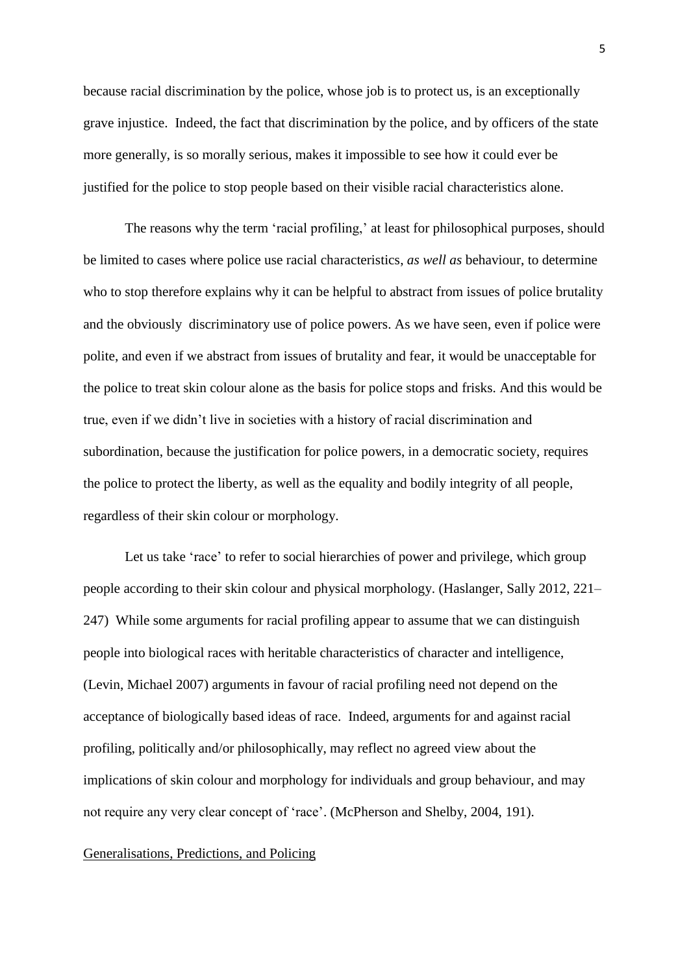because racial discrimination by the police, whose job is to protect us, is an exceptionally grave injustice. Indeed, the fact that discrimination by the police, and by officers of the state more generally, is so morally serious, makes it impossible to see how it could ever be justified for the police to stop people based on their visible racial characteristics alone.

The reasons why the term 'racial profiling,' at least for philosophical purposes, should be limited to cases where police use racial characteristics, *as well as* behaviour, to determine who to stop therefore explains why it can be helpful to abstract from issues of police brutality and the obviously discriminatory use of police powers. As we have seen, even if police were polite, and even if we abstract from issues of brutality and fear, it would be unacceptable for the police to treat skin colour alone as the basis for police stops and frisks. And this would be true, even if we didn't live in societies with a history of racial discrimination and subordination, because the justification for police powers, in a democratic society, requires the police to protect the liberty, as well as the equality and bodily integrity of all people, regardless of their skin colour or morphology.

Let us take 'race' to refer to social hierarchies of power and privilege, which group people according to their skin colour and physical morphology. (Haslanger, Sally 2012, 221– 247) While some arguments for racial profiling appear to assume that we can distinguish people into biological races with heritable characteristics of character and intelligence, (Levin, Michael 2007) arguments in favour of racial profiling need not depend on the acceptance of biologically based ideas of race. Indeed, arguments for and against racial profiling, politically and/or philosophically, may reflect no agreed view about the implications of skin colour and morphology for individuals and group behaviour, and may not require any very clear concept of 'race'. (McPherson and Shelby, 2004, 191).

#### Generalisations, Predictions, and Policing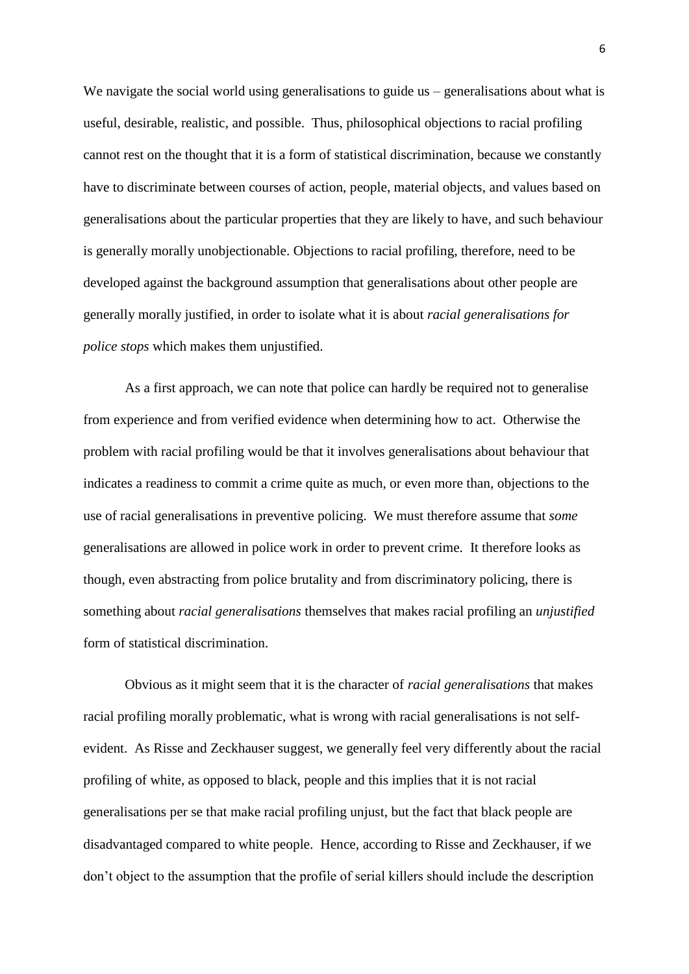We navigate the social world using generalisations to guide us  $-$  generalisations about what is useful, desirable, realistic, and possible. Thus, philosophical objections to racial profiling cannot rest on the thought that it is a form of statistical discrimination, because we constantly have to discriminate between courses of action, people, material objects, and values based on generalisations about the particular properties that they are likely to have, and such behaviour is generally morally unobjectionable. Objections to racial profiling, therefore, need to be developed against the background assumption that generalisations about other people are generally morally justified, in order to isolate what it is about *racial generalisations for police stops* which makes them unjustified.

As a first approach, we can note that police can hardly be required not to generalise from experience and from verified evidence when determining how to act. Otherwise the problem with racial profiling would be that it involves generalisations about behaviour that indicates a readiness to commit a crime quite as much, or even more than, objections to the use of racial generalisations in preventive policing. We must therefore assume that *some*  generalisations are allowed in police work in order to prevent crime. It therefore looks as though, even abstracting from police brutality and from discriminatory policing, there is something about *racial generalisations* themselves that makes racial profiling an *unjustified*  form of statistical discrimination.

Obvious as it might seem that it is the character of *racial generalisations* that makes racial profiling morally problematic, what is wrong with racial generalisations is not selfevident. As Risse and Zeckhauser suggest, we generally feel very differently about the racial profiling of white, as opposed to black, people and this implies that it is not racial generalisations per se that make racial profiling unjust, but the fact that black people are disadvantaged compared to white people. Hence, according to Risse and Zeckhauser, if we don't object to the assumption that the profile of serial killers should include the description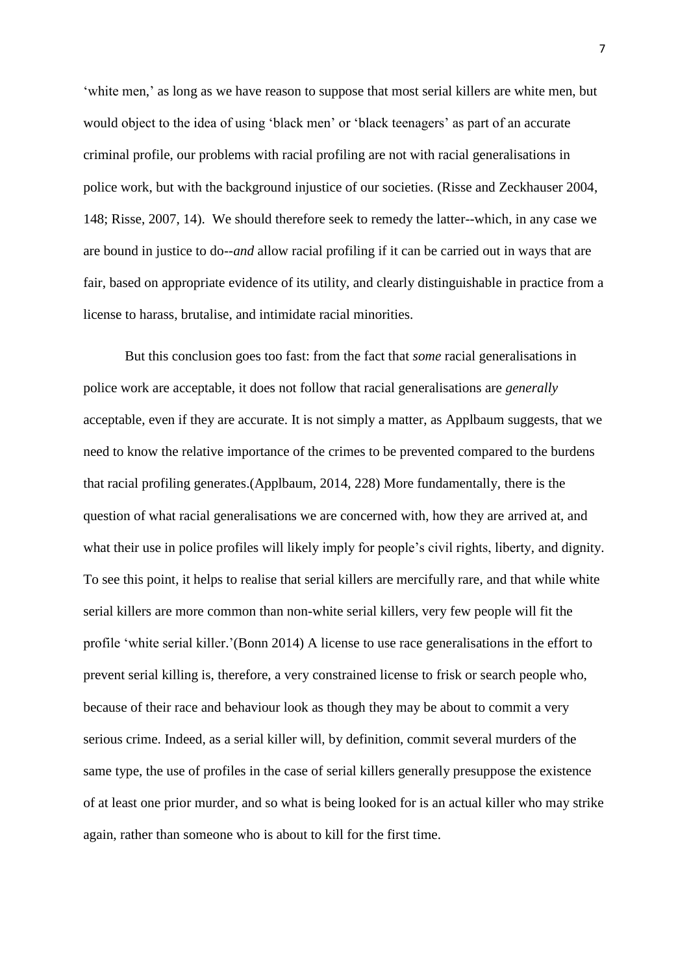'white men,' as long as we have reason to suppose that most serial killers are white men, but would object to the idea of using 'black men' or 'black teenagers' as part of an accurate criminal profile, our problems with racial profiling are not with racial generalisations in police work, but with the background injustice of our societies. (Risse and Zeckhauser 2004, 148; Risse, 2007, 14). We should therefore seek to remedy the latter--which, in any case we are bound in justice to do--*and* allow racial profiling if it can be carried out in ways that are fair, based on appropriate evidence of its utility, and clearly distinguishable in practice from a license to harass, brutalise, and intimidate racial minorities.

But this conclusion goes too fast: from the fact that *some* racial generalisations in police work are acceptable, it does not follow that racial generalisations are *generally* acceptable, even if they are accurate. It is not simply a matter, as Applbaum suggests, that we need to know the relative importance of the crimes to be prevented compared to the burdens that racial profiling generates.(Applbaum, 2014, 228) More fundamentally, there is the question of what racial generalisations we are concerned with, how they are arrived at, and what their use in police profiles will likely imply for people's civil rights, liberty, and dignity. To see this point, it helps to realise that serial killers are mercifully rare, and that while white serial killers are more common than non-white serial killers, very few people will fit the profile 'white serial killer.'(Bonn 2014) A license to use race generalisations in the effort to prevent serial killing is, therefore, a very constrained license to frisk or search people who, because of their race and behaviour look as though they may be about to commit a very serious crime. Indeed, as a serial killer will, by definition, commit several murders of the same type, the use of profiles in the case of serial killers generally presuppose the existence of at least one prior murder, and so what is being looked for is an actual killer who may strike again, rather than someone who is about to kill for the first time.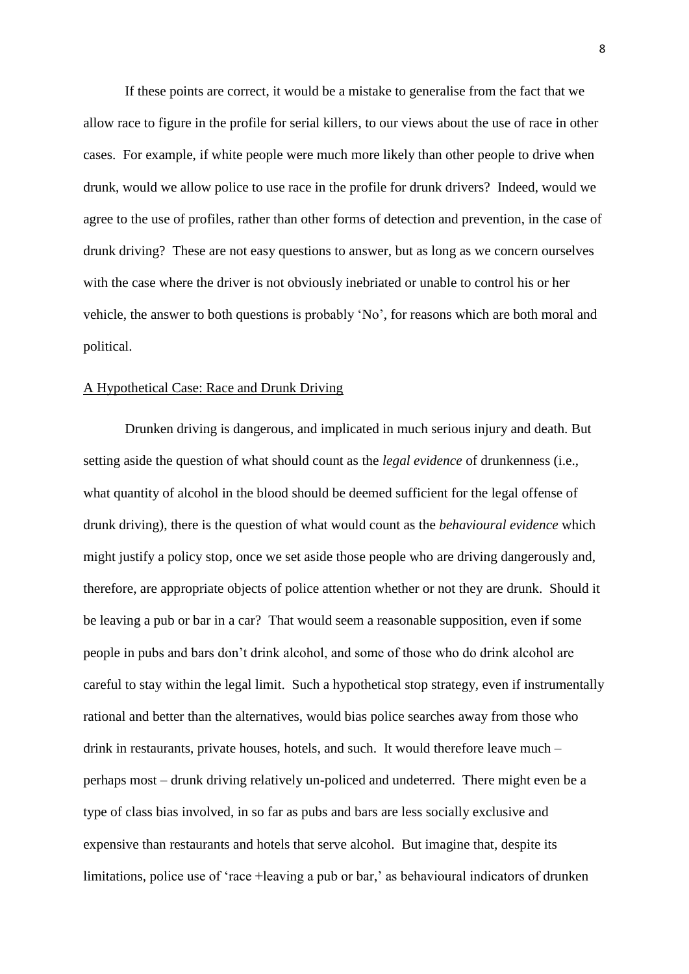If these points are correct, it would be a mistake to generalise from the fact that we allow race to figure in the profile for serial killers, to our views about the use of race in other cases. For example, if white people were much more likely than other people to drive when drunk, would we allow police to use race in the profile for drunk drivers? Indeed, would we agree to the use of profiles, rather than other forms of detection and prevention, in the case of drunk driving? These are not easy questions to answer, but as long as we concern ourselves with the case where the driver is not obviously inebriated or unable to control his or her vehicle, the answer to both questions is probably 'No', for reasons which are both moral and political.

#### A Hypothetical Case: Race and Drunk Driving

Drunken driving is dangerous, and implicated in much serious injury and death. But setting aside the question of what should count as the *legal evidence* of drunkenness (i.e., what quantity of alcohol in the blood should be deemed sufficient for the legal offense of drunk driving), there is the question of what would count as the *behavioural evidence* which might justify a policy stop, once we set aside those people who are driving dangerously and, therefore, are appropriate objects of police attention whether or not they are drunk. Should it be leaving a pub or bar in a car? That would seem a reasonable supposition, even if some people in pubs and bars don't drink alcohol, and some of those who do drink alcohol are careful to stay within the legal limit. Such a hypothetical stop strategy, even if instrumentally rational and better than the alternatives, would bias police searches away from those who drink in restaurants, private houses, hotels, and such. It would therefore leave much – perhaps most – drunk driving relatively un-policed and undeterred. There might even be a type of class bias involved, in so far as pubs and bars are less socially exclusive and expensive than restaurants and hotels that serve alcohol. But imagine that, despite its limitations, police use of 'race +leaving a pub or bar,' as behavioural indicators of drunken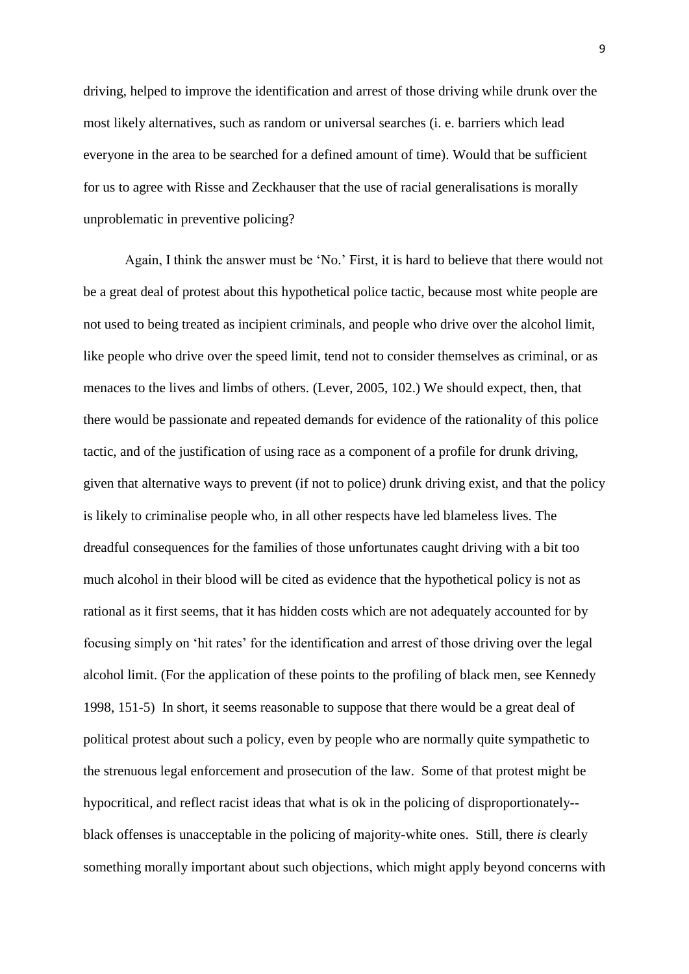driving, helped to improve the identification and arrest of those driving while drunk over the most likely alternatives, such as random or universal searches (i. e. barriers which lead everyone in the area to be searched for a defined amount of time). Would that be sufficient for us to agree with Risse and Zeckhauser that the use of racial generalisations is morally unproblematic in preventive policing?

Again, I think the answer must be 'No.' First, it is hard to believe that there would not be a great deal of protest about this hypothetical police tactic, because most white people are not used to being treated as incipient criminals, and people who drive over the alcohol limit, like people who drive over the speed limit, tend not to consider themselves as criminal, or as menaces to the lives and limbs of others. (Lever, 2005, 102.) We should expect, then, that there would be passionate and repeated demands for evidence of the rationality of this police tactic, and of the justification of using race as a component of a profile for drunk driving, given that alternative ways to prevent (if not to police) drunk driving exist, and that the policy is likely to criminalise people who, in all other respects have led blameless lives. The dreadful consequences for the families of those unfortunates caught driving with a bit too much alcohol in their blood will be cited as evidence that the hypothetical policy is not as rational as it first seems, that it has hidden costs which are not adequately accounted for by focusing simply on 'hit rates' for the identification and arrest of those driving over the legal alcohol limit. (For the application of these points to the profiling of black men, see Kennedy 1998, 151-5) In short, it seems reasonable to suppose that there would be a great deal of political protest about such a policy, even by people who are normally quite sympathetic to the strenuous legal enforcement and prosecution of the law. Some of that protest might be hypocritical, and reflect racist ideas that what is ok in the policing of disproportionately- black offenses is unacceptable in the policing of majority-white ones. Still, there *is* clearly something morally important about such objections, which might apply beyond concerns with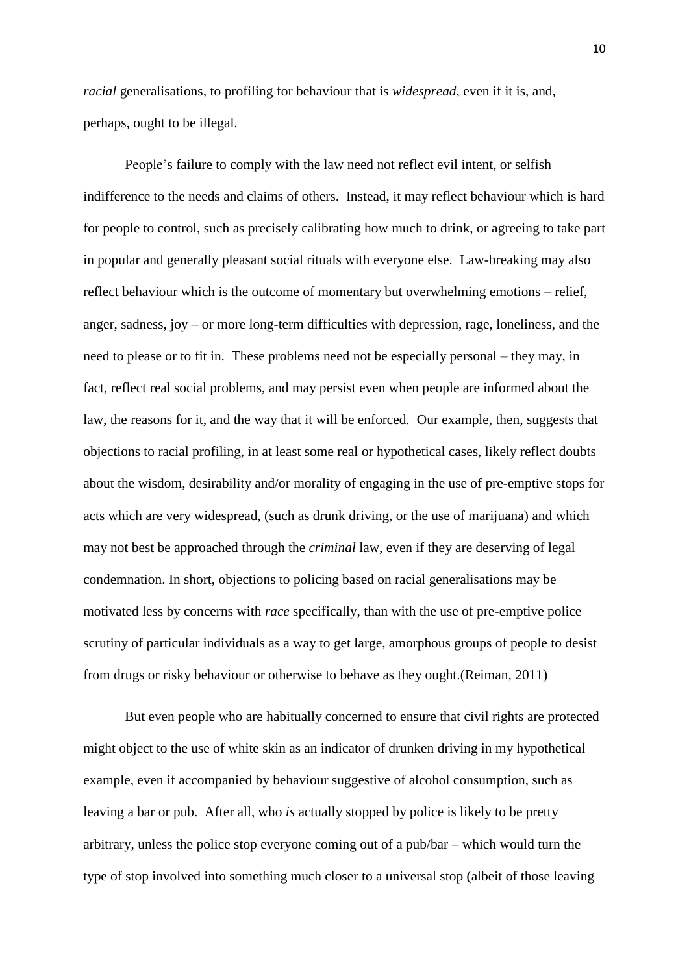*racial* generalisations, to profiling for behaviour that is *widespread*, even if it is, and, perhaps, ought to be illegal.

People's failure to comply with the law need not reflect evil intent, or selfish indifference to the needs and claims of others. Instead, it may reflect behaviour which is hard for people to control, such as precisely calibrating how much to drink, or agreeing to take part in popular and generally pleasant social rituals with everyone else. Law-breaking may also reflect behaviour which is the outcome of momentary but overwhelming emotions – relief, anger, sadness, joy – or more long-term difficulties with depression, rage, loneliness, and the need to please or to fit in. These problems need not be especially personal – they may, in fact, reflect real social problems, and may persist even when people are informed about the law, the reasons for it, and the way that it will be enforced. Our example, then, suggests that objections to racial profiling, in at least some real or hypothetical cases, likely reflect doubts about the wisdom, desirability and/or morality of engaging in the use of pre-emptive stops for acts which are very widespread, (such as drunk driving, or the use of marijuana) and which may not best be approached through the *criminal* law, even if they are deserving of legal condemnation. In short, objections to policing based on racial generalisations may be motivated less by concerns with *race* specifically, than with the use of pre-emptive police scrutiny of particular individuals as a way to get large, amorphous groups of people to desist from drugs or risky behaviour or otherwise to behave as they ought.(Reiman, 2011)

But even people who are habitually concerned to ensure that civil rights are protected might object to the use of white skin as an indicator of drunken driving in my hypothetical example, even if accompanied by behaviour suggestive of alcohol consumption, such as leaving a bar or pub. After all, who *is* actually stopped by police is likely to be pretty arbitrary, unless the police stop everyone coming out of a pub/bar – which would turn the type of stop involved into something much closer to a universal stop (albeit of those leaving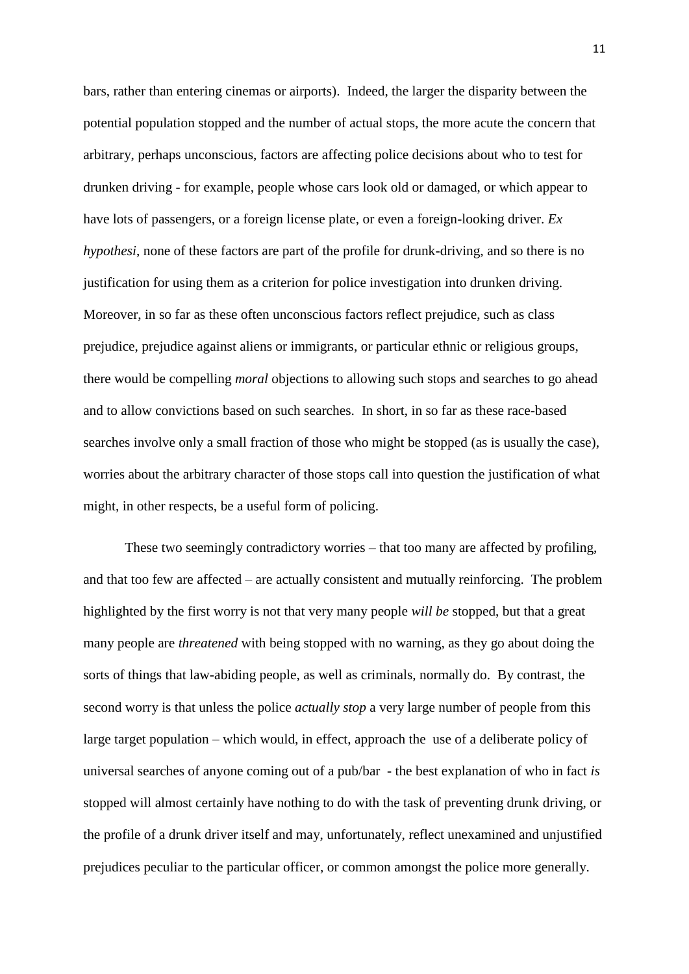bars, rather than entering cinemas or airports). Indeed, the larger the disparity between the potential population stopped and the number of actual stops, the more acute the concern that arbitrary, perhaps unconscious, factors are affecting police decisions about who to test for drunken driving - for example, people whose cars look old or damaged, or which appear to have lots of passengers, or a foreign license plate, or even a foreign-looking driver. *Ex hypothesi*, none of these factors are part of the profile for drunk-driving, and so there is no justification for using them as a criterion for police investigation into drunken driving. Moreover, in so far as these often unconscious factors reflect prejudice, such as class prejudice, prejudice against aliens or immigrants, or particular ethnic or religious groups, there would be compelling *moral* objections to allowing such stops and searches to go ahead and to allow convictions based on such searches. In short, in so far as these race-based searches involve only a small fraction of those who might be stopped (as is usually the case), worries about the arbitrary character of those stops call into question the justification of what might, in other respects, be a useful form of policing.

These two seemingly contradictory worries – that too many are affected by profiling, and that too few are affected – are actually consistent and mutually reinforcing. The problem highlighted by the first worry is not that very many people *will be* stopped, but that a great many people are *threatened* with being stopped with no warning, as they go about doing the sorts of things that law-abiding people, as well as criminals, normally do. By contrast, the second worry is that unless the police *actually stop* a very large number of people from this large target population – which would, in effect, approach the use of a deliberate policy of universal searches of anyone coming out of a pub/bar - the best explanation of who in fact *is* stopped will almost certainly have nothing to do with the task of preventing drunk driving, or the profile of a drunk driver itself and may, unfortunately, reflect unexamined and unjustified prejudices peculiar to the particular officer, or common amongst the police more generally.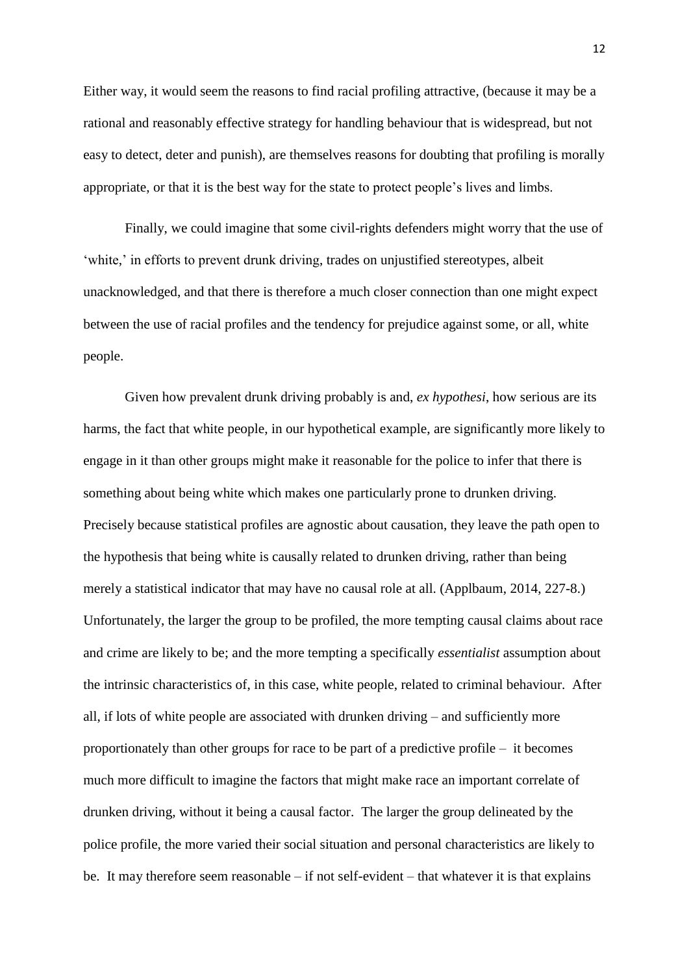Either way, it would seem the reasons to find racial profiling attractive, (because it may be a rational and reasonably effective strategy for handling behaviour that is widespread, but not easy to detect, deter and punish), are themselves reasons for doubting that profiling is morally appropriate, or that it is the best way for the state to protect people's lives and limbs.

Finally, we could imagine that some civil-rights defenders might worry that the use of 'white,' in efforts to prevent drunk driving, trades on unjustified stereotypes, albeit unacknowledged, and that there is therefore a much closer connection than one might expect between the use of racial profiles and the tendency for prejudice against some, or all, white people.

Given how prevalent drunk driving probably is and, *ex hypothesi*, how serious are its harms, the fact that white people, in our hypothetical example, are significantly more likely to engage in it than other groups might make it reasonable for the police to infer that there is something about being white which makes one particularly prone to drunken driving. Precisely because statistical profiles are agnostic about causation, they leave the path open to the hypothesis that being white is causally related to drunken driving, rather than being merely a statistical indicator that may have no causal role at all. (Applbaum, 2014, 227-8.) Unfortunately, the larger the group to be profiled, the more tempting causal claims about race and crime are likely to be; and the more tempting a specifically *essentialist* assumption about the intrinsic characteristics of, in this case, white people, related to criminal behaviour. After all, if lots of white people are associated with drunken driving – and sufficiently more proportionately than other groups for race to be part of a predictive profile – it becomes much more difficult to imagine the factors that might make race an important correlate of drunken driving, without it being a causal factor. The larger the group delineated by the police profile, the more varied their social situation and personal characteristics are likely to be. It may therefore seem reasonable – if not self-evident – that whatever it is that explains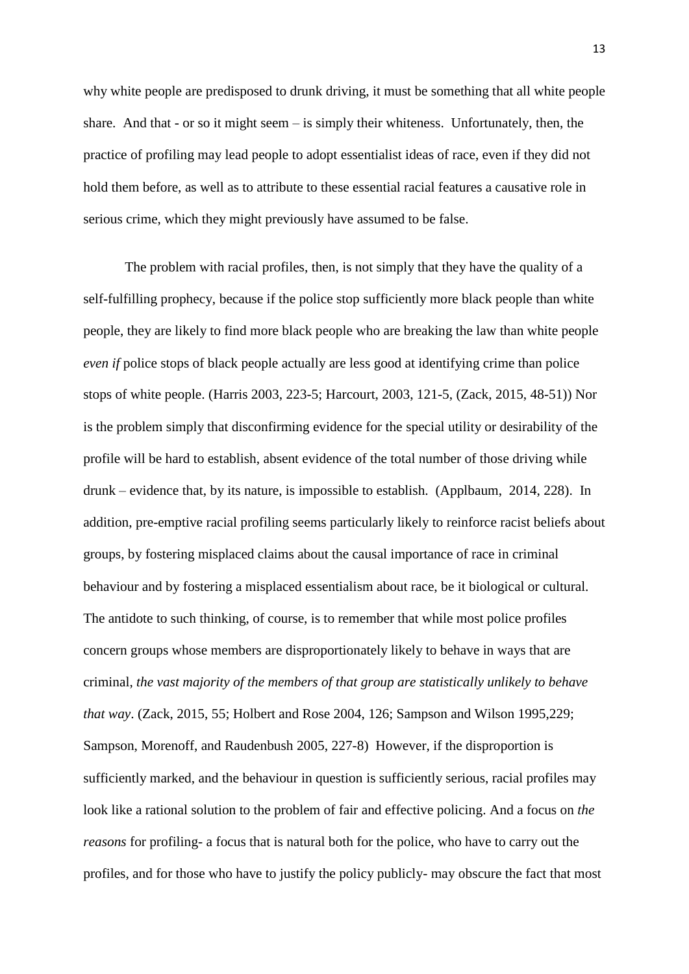why white people are predisposed to drunk driving, it must be something that all white people share. And that - or so it might seem – is simply their whiteness. Unfortunately, then, the practice of profiling may lead people to adopt essentialist ideas of race, even if they did not hold them before, as well as to attribute to these essential racial features a causative role in serious crime, which they might previously have assumed to be false.

The problem with racial profiles, then, is not simply that they have the quality of a self-fulfilling prophecy, because if the police stop sufficiently more black people than white people, they are likely to find more black people who are breaking the law than white people *even if* police stops of black people actually are less good at identifying crime than police stops of white people. (Harris 2003, 223-5; Harcourt, 2003, 121-5, (Zack, 2015, 48-51)) Nor is the problem simply that disconfirming evidence for the special utility or desirability of the profile will be hard to establish, absent evidence of the total number of those driving while drunk – evidence that, by its nature, is impossible to establish. (Applbaum, 2014, 228). In addition, pre-emptive racial profiling seems particularly likely to reinforce racist beliefs about groups, by fostering misplaced claims about the causal importance of race in criminal behaviour and by fostering a misplaced essentialism about race, be it biological or cultural. The antidote to such thinking, of course, is to remember that while most police profiles concern groups whose members are disproportionately likely to behave in ways that are criminal, *the vast majority of the members of that group are statistically unlikely to behave that way*. (Zack, 2015, 55; Holbert and Rose 2004, 126; Sampson and Wilson 1995,229; Sampson, Morenoff, and Raudenbush 2005, 227-8) However, if the disproportion is sufficiently marked, and the behaviour in question is sufficiently serious, racial profiles may look like a rational solution to the problem of fair and effective policing. And a focus on *the reasons* for profiling- a focus that is natural both for the police, who have to carry out the profiles, and for those who have to justify the policy publicly- may obscure the fact that most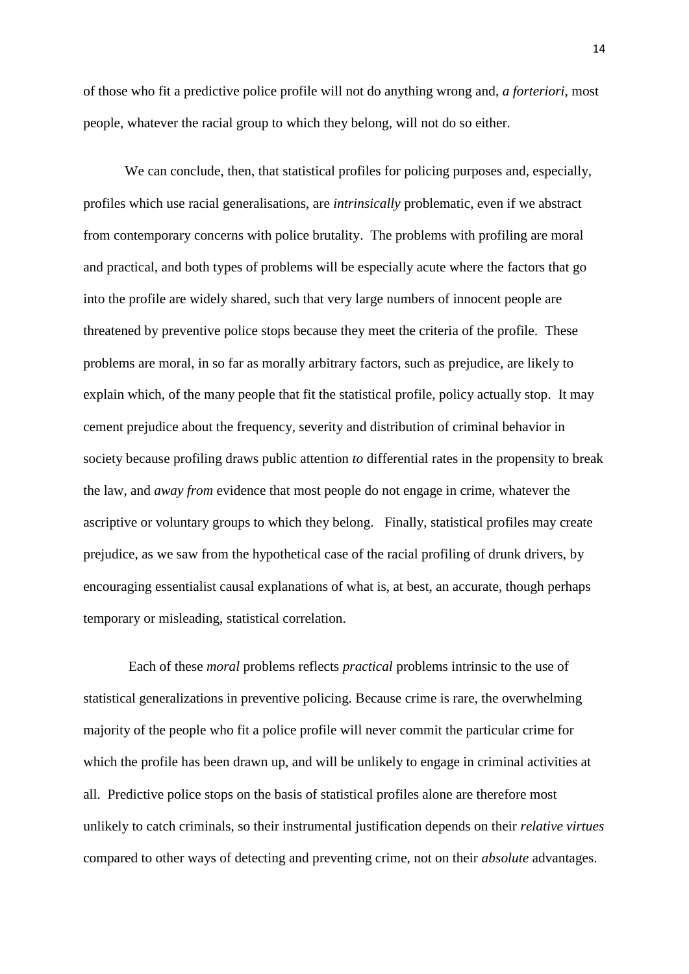of those who fit a predictive police profile will not do anything wrong and, *a forteriori*, most people, whatever the racial group to which they belong, will not do so either.

We can conclude, then, that statistical profiles for policing purposes and, especially, profiles which use racial generalisations, are *intrinsically* problematic, even if we abstract from contemporary concerns with police brutality. The problems with profiling are moral and practical, and both types of problems will be especially acute where the factors that go into the profile are widely shared, such that very large numbers of innocent people are threatened by preventive police stops because they meet the criteria of the profile. These problems are moral, in so far as morally arbitrary factors, such as prejudice, are likely to explain which, of the many people that fit the statistical profile, policy actually stop. It may cement prejudice about the frequency, severity and distribution of criminal behavior in society because profiling draws public attention *to* differential rates in the propensity to break the law, and *away from* evidence that most people do not engage in crime, whatever the ascriptive or voluntary groups to which they belong. Finally, statistical profiles may create prejudice, as we saw from the hypothetical case of the racial profiling of drunk drivers, by encouraging essentialist causal explanations of what is, at best, an accurate, though perhaps temporary or misleading, statistical correlation.

Each of these *moral* problems reflects *practical* problems intrinsic to the use of statistical generalizations in preventive policing. Because crime is rare, the overwhelming majority of the people who fit a police profile will never commit the particular crime for which the profile has been drawn up, and will be unlikely to engage in criminal activities at all. Predictive police stops on the basis of statistical profiles alone are therefore most unlikely to catch criminals, so their instrumental justification depends on their *relative virtues* compared to other ways of detecting and preventing crime, not on their *absolute* advantages.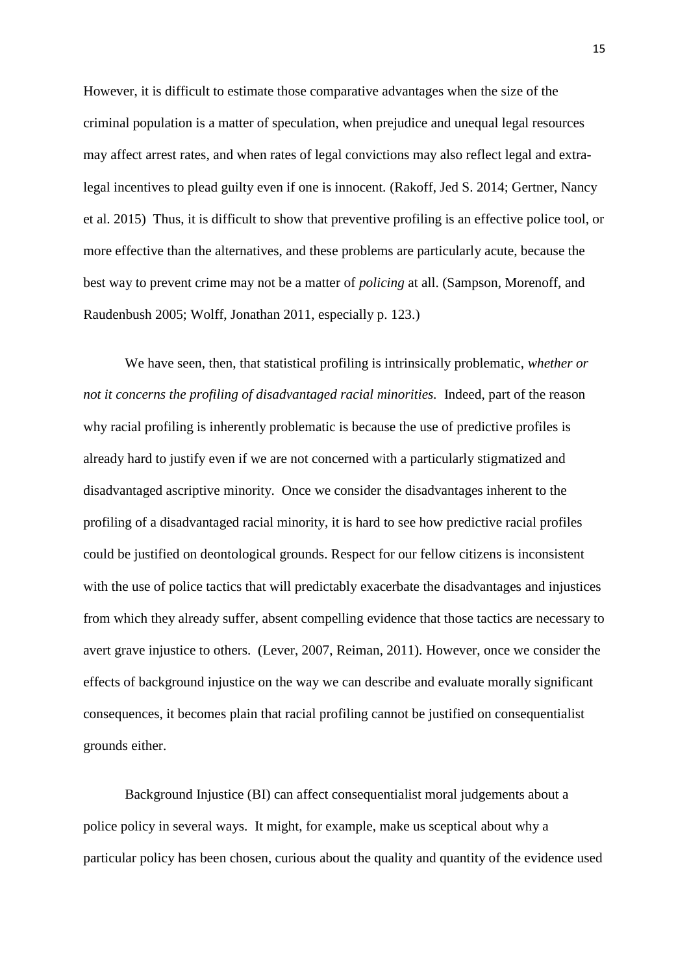However, it is difficult to estimate those comparative advantages when the size of the criminal population is a matter of speculation, when prejudice and unequal legal resources may affect arrest rates, and when rates of legal convictions may also reflect legal and extralegal incentives to plead guilty even if one is innocent. (Rakoff, Jed S. 2014; Gertner, Nancy et al. 2015) Thus, it is difficult to show that preventive profiling is an effective police tool, or more effective than the alternatives, and these problems are particularly acute, because the best way to prevent crime may not be a matter of *policing* at all. (Sampson, Morenoff, and Raudenbush 2005; Wolff, Jonathan 2011, especially p. 123.)

We have seen, then, that statistical profiling is intrinsically problematic, *whether or not it concerns the profiling of disadvantaged racial minorities.* Indeed, part of the reason why racial profiling is inherently problematic is because the use of predictive profiles is already hard to justify even if we are not concerned with a particularly stigmatized and disadvantaged ascriptive minority. Once we consider the disadvantages inherent to the profiling of a disadvantaged racial minority, it is hard to see how predictive racial profiles could be justified on deontological grounds. Respect for our fellow citizens is inconsistent with the use of police tactics that will predictably exacerbate the disadvantages and injustices from which they already suffer, absent compelling evidence that those tactics are necessary to avert grave injustice to others. (Lever, 2007, Reiman, 2011). However, once we consider the effects of background injustice on the way we can describe and evaluate morally significant consequences, it becomes plain that racial profiling cannot be justified on consequentialist grounds either.

Background Injustice (BI) can affect consequentialist moral judgements about a police policy in several ways. It might, for example, make us sceptical about why a particular policy has been chosen, curious about the quality and quantity of the evidence used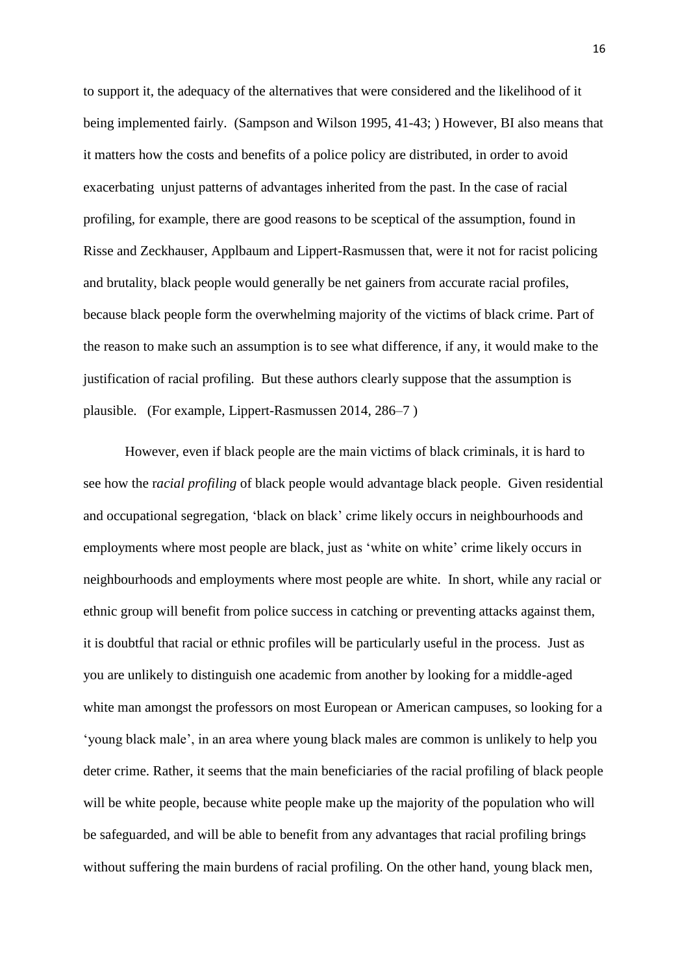to support it, the adequacy of the alternatives that were considered and the likelihood of it being implemented fairly. (Sampson and Wilson 1995, 41-43; ) However, BI also means that it matters how the costs and benefits of a police policy are distributed, in order to avoid exacerbating unjust patterns of advantages inherited from the past. In the case of racial profiling, for example, there are good reasons to be sceptical of the assumption, found in Risse and Zeckhauser, Applbaum and Lippert-Rasmussen that, were it not for racist policing and brutality, black people would generally be net gainers from accurate racial profiles, because black people form the overwhelming majority of the victims of black crime. Part of the reason to make such an assumption is to see what difference, if any, it would make to the justification of racial profiling. But these authors clearly suppose that the assumption is plausible. (For example, Lippert-Rasmussen 2014, 286–7 )

However, even if black people are the main victims of black criminals, it is hard to see how the r*acial profiling* of black people would advantage black people. Given residential and occupational segregation, 'black on black' crime likely occurs in neighbourhoods and employments where most people are black, just as 'white on white' crime likely occurs in neighbourhoods and employments where most people are white. In short, while any racial or ethnic group will benefit from police success in catching or preventing attacks against them, it is doubtful that racial or ethnic profiles will be particularly useful in the process. Just as you are unlikely to distinguish one academic from another by looking for a middle-aged white man amongst the professors on most European or American campuses, so looking for a 'young black male', in an area where young black males are common is unlikely to help you deter crime. Rather, it seems that the main beneficiaries of the racial profiling of black people will be white people, because white people make up the majority of the population who will be safeguarded, and will be able to benefit from any advantages that racial profiling brings without suffering the main burdens of racial profiling. On the other hand, young black men,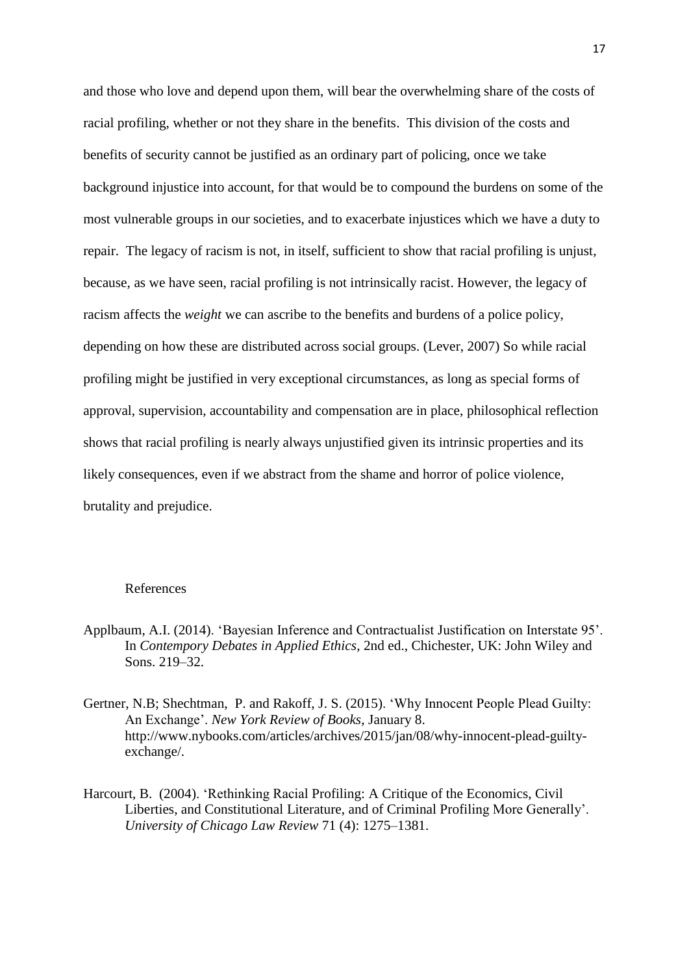and those who love and depend upon them, will bear the overwhelming share of the costs of racial profiling, whether or not they share in the benefits. This division of the costs and benefits of security cannot be justified as an ordinary part of policing, once we take background injustice into account, for that would be to compound the burdens on some of the most vulnerable groups in our societies, and to exacerbate injustices which we have a duty to repair. The legacy of racism is not, in itself, sufficient to show that racial profiling is unjust, because, as we have seen, racial profiling is not intrinsically racist. However, the legacy of racism affects the *weight* we can ascribe to the benefits and burdens of a police policy, depending on how these are distributed across social groups. (Lever, 2007) So while racial profiling might be justified in very exceptional circumstances, as long as special forms of approval, supervision, accountability and compensation are in place, philosophical reflection shows that racial profiling is nearly always unjustified given its intrinsic properties and its likely consequences, even if we abstract from the shame and horror of police violence, brutality and prejudice.

### References

- Applbaum, A.I. (2014). 'Bayesian Inference and Contractualist Justification on Interstate 95'. In *Contempory Debates in Applied Ethics*, 2nd ed., Chichester, UK: John Wiley and Sons. 219–32.
- Gertner, N.B; Shechtman, P. and Rakoff, J. S. (2015). 'Why Innocent People Plead Guilty: An Exchange'. *New York Review of Books*, January 8. http://www.nybooks.com/articles/archives/2015/jan/08/why-innocent-plead-guiltyexchange/.
- Harcourt, B. (2004). 'Rethinking Racial Profiling: A Critique of the Economics, Civil Liberties, and Constitutional Literature, and of Criminal Profiling More Generally'. *University of Chicago Law Review* 71 (4): 1275–1381.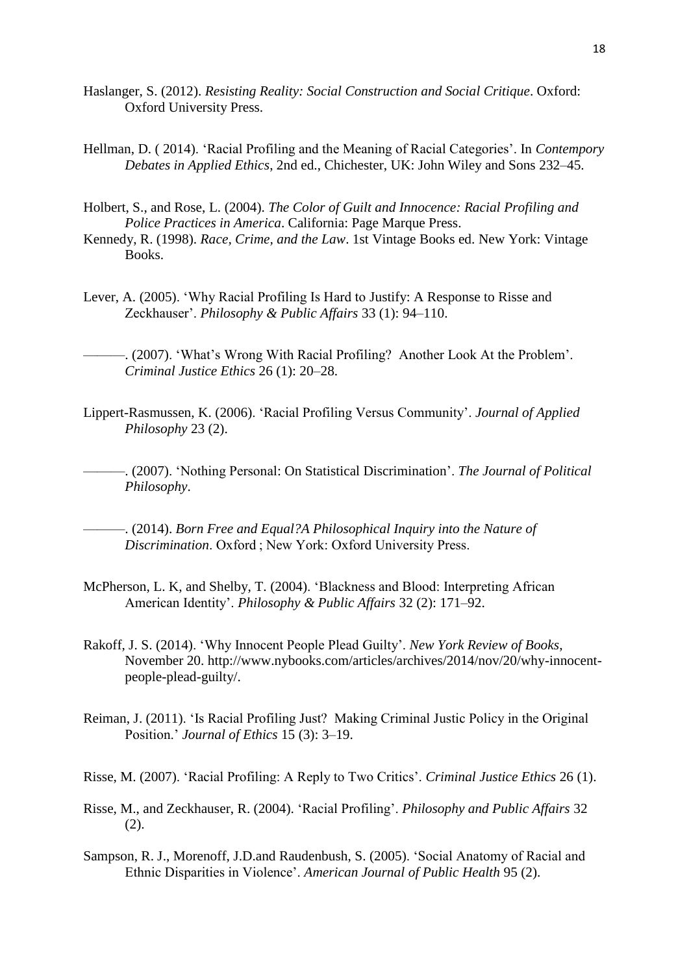- Haslanger, S. (2012). *Resisting Reality: Social Construction and Social Critique*. Oxford: Oxford University Press.
- Hellman, D. ( 2014). 'Racial Profiling and the Meaning of Racial Categories'. In *Contempory Debates in Applied Ethics*, 2nd ed., Chichester, UK: John Wiley and Sons 232–45.
- Holbert, S., and Rose, L. (2004). *The Color of Guilt and Innocence: Racial Profiling and Police Practices in America*. California: Page Marque Press.
- Kennedy, R. (1998). *Race, Crime, and the Law*. 1st Vintage Books ed. New York: Vintage Books.
- Lever, A. (2005). 'Why Racial Profiling Is Hard to Justify: A Response to Risse and Zeckhauser'. *Philosophy & Public Affairs* 33 (1): 94–110.
	- ———. (2007). 'What's Wrong With Racial Profiling? Another Look At the Problem'. *Criminal Justice Ethics* 26 (1): 20–28.
- Lippert-Rasmussen, K. (2006). 'Racial Profiling Versus Community'. *Journal of Applied Philosophy* 23 (2).
- ———. (2007). 'Nothing Personal: On Statistical Discrimination'. *The Journal of Political Philosophy*.
- ———. (2014). *Born Free and Equal?A Philosophical Inquiry into the Nature of Discrimination*. Oxford ; New York: Oxford University Press.
- McPherson, L. K, and Shelby, T. (2004). 'Blackness and Blood: Interpreting African American Identity'. *Philosophy & Public Affairs* 32 (2): 171–92.
- Rakoff, J. S. (2014). 'Why Innocent People Plead Guilty'. *New York Review of Books*, November 20. http://www.nybooks.com/articles/archives/2014/nov/20/why-innocentpeople-plead-guilty/.
- Reiman, J. (2011). 'Is Racial Profiling Just? Making Criminal Justic Policy in the Original Position.' *Journal of Ethics* 15 (3): 3–19.
- Risse, M. (2007). 'Racial Profiling: A Reply to Two Critics'. *Criminal Justice Ethics* 26 (1).
- Risse, M., and Zeckhauser, R. (2004). 'Racial Profiling'. *Philosophy and Public Affairs* 32 (2).
- Sampson, R. J., Morenoff, J.D.and Raudenbush, S. (2005). 'Social Anatomy of Racial and Ethnic Disparities in Violence'. *American Journal of Public Health* 95 (2).